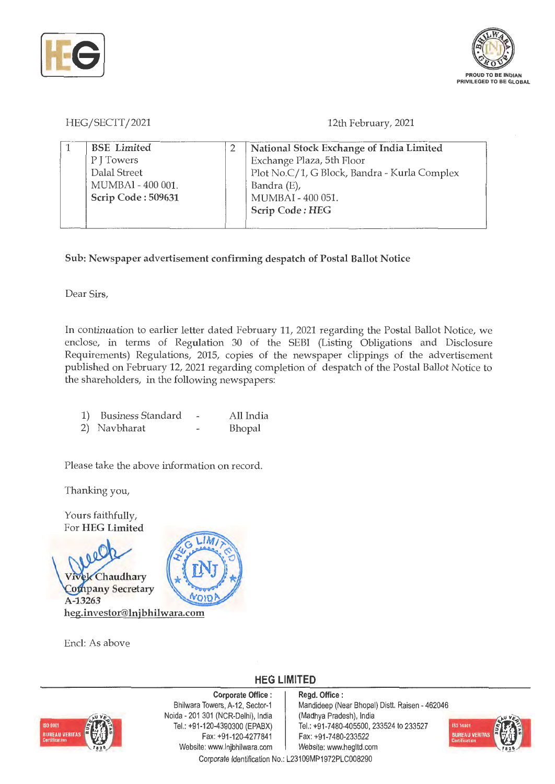



# HEG/SECTT/2021

12th February, 2021

| <b>BSE</b> Limited | National Stock Exchange of India Limited     |
|--------------------|----------------------------------------------|
| P J Towers         | Exchange Plaza, 5th Floor                    |
| Dalal Street       | Plot No.C/1, G Block, Bandra - Kurla Complex |
| MUMBAI - 400 001.  | Bandra (E),                                  |
| Scrip Code: 509631 | MUMBAI - 400 051.                            |
|                    | Scrip Code: HEG                              |
|                    |                                              |

**Sub: Newspaper advertisement confirming despatch of Postal Ballot Notice** 

Dear Sirs,

In continuation to earlier letter dated February 11, 2021 regarding the Postal Ballot Notice, we enclose, in terms of Regulation 30 of the SEBI (Listing Obligations and Disclosure Requirements) Regulations, 2015, copies of the newspaper clippings of the advertisement published on February 12, 2021 regarding completion of despatch of the Postal Ballot Notice to the shareholders, in the following newspapers:

| 1)<br><b>Business Standard</b> |  | All India |
|--------------------------------|--|-----------|
|--------------------------------|--|-----------|

2) Navbharat Bhopal

Please take the above information on record.

Thanking you,

Yours faithfully, For **HEG Limited** 



Encl: As above

**HEG LIMITED** 



**Corporate Office** : Bhilwara Towers, A-12, Sector-1 Noida - 201 301 (NCR-Delhi), India Tel.: +91 -120-4390300 (EPABX) Fax: +91 -120-4277841 Website: www.lnjbhilwara.com | Website: www.hegltd.com

**Regd. Office** : Mandideep (Near Bhopal) Distt. Raisen - 462046 (Madhya Pradesh), India Tel.: +91 -7480-405500, 233524 to 233527 Fax: +91 -7480-233522



Corporate Identification No.: L23109MP1972PLC008290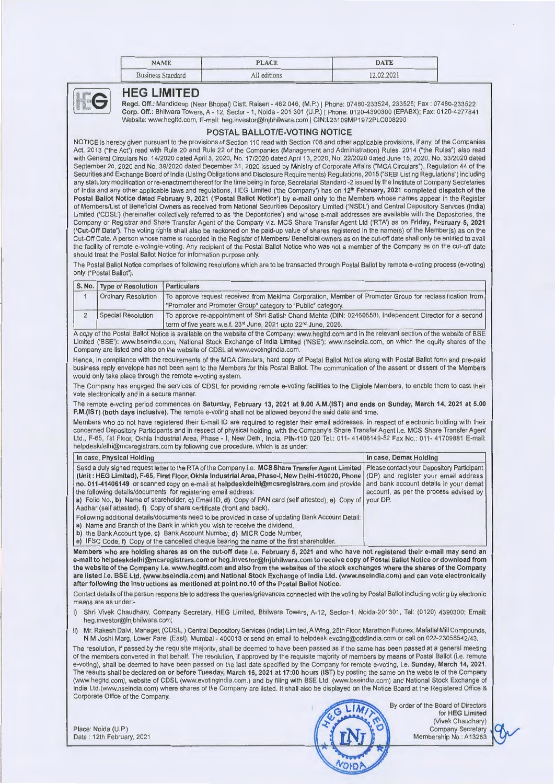| <b>NAME</b>              | <b>PLACE</b> | .<br><b>DATE</b> |
|--------------------------|--------------|------------------|
| <b>Business Standard</b> | All editions | 2.02.2021        |



## **HEG LIMITED**

Regd. Off.: Mandideep (Near Bhopal) Dist!. Raisen - 462 046, (M .P.) I Phone: 07480-233524, 233525; Fax : 07480-233522 Corp. Off.: Bhilwara Towers, A - 12, Sector - 1, Noida - 201 301 (U.P.) | Phone: 0120-4390300 (EPABX); Fax: 0120-4277841 Website: www.hegltd.com, E-mail: heg.investor@lnjbhilwara.com I CIN:L23109MP1972PLC008290

## **POSTAL BALLOT/E-VOTING NOTICE**

NOTICE is hereby given pursuant to the provisions of Section 110 read with Section 108 and other applicable provisions, if any, of the Companies Act, 2013 ("the Act") read with Rule 20 and Rule 22 of the Companies (Management and Administration) Rules, 2014 ("the Rules") also read with General Circulars No. 14/2020 dated April 8, 2020, No. 17/2020 dated April 13, 2020, No. 22/2020 dated June 15, 2020, No. 33/2020 dated September 28, 2020 and No. 39/2020 dated December 31, 2020 issued by Ministry of Corporate Affairs ("MCA Circulars"), Regulation 44 of the Securities and Exchange Board of India (Listing Obligations and Disclosure Requirements) Regulations, 2015 ("SEBI Listing Regulations") including any statutory modification or re-enactment thereof for the time being in force, Secretarial Standard -2 issued by the Institute of Company Secretaries of India and any other applicable laws and regulations, HEG Limited ('the Company') has on 12<sup>th</sup> February, 2021 completed dispatch of the **Postal Ballot Notice dated February 9, 2021 ('Postal Ballot Notice') by e-mai l only** to the Members whose names appear in the Register of Members/List of Beneficial Owners as received from National Securities Depository Limited ('NSDL') and Central Depository Services (India) Limited ('CDSL') (hereinafter collectively referred to as 'the Depositories') and whose e-mail addresses are available with the Depositories, the Company or Registrar and Share Transfer Agent of the Company viz. MCS Share Transfer Agent Ltd ('RTA') as on **Friday, February 5, 2021 ('Cut-Off Date').** The voting rights shall also be reckoned on the paid-up value of shares registered in the name(s) of the Member(s) as on the Cut-Off Date. A person whose name is recorded in the Register of Members/ Beneficial owners as on the cut-off date shall only be entitled to avail the facility of remote e-voting/e-voting. Any recipient of the Postal Ballot Notice who was not a member of the Company as on the cut-off date should treat the Postal Ballot Notice for information purpose only.

The Postal Ballot Notice comprises of following resolutions which are to be transacted through Postal Ballot by remote e-voting process (e-voting) only ("Postal Ballot").

| S. No.         | <b>Type of Resolution</b>                        | <b>Particulars</b>                                                                                                                                                                                                                                                                                                                                                                                                                                                                                                                                                                                                                                                                                                                                                                                                                                                                      |                                                                                                                                      |  |
|----------------|--------------------------------------------------|-----------------------------------------------------------------------------------------------------------------------------------------------------------------------------------------------------------------------------------------------------------------------------------------------------------------------------------------------------------------------------------------------------------------------------------------------------------------------------------------------------------------------------------------------------------------------------------------------------------------------------------------------------------------------------------------------------------------------------------------------------------------------------------------------------------------------------------------------------------------------------------------|--------------------------------------------------------------------------------------------------------------------------------------|--|
| $\mathbf{1}$   | <b>Ordinary Resolution</b>                       | To approve request received from Mekima Corporation, Member of Promoter Group for reclassification from<br>"Promoter and Promoter Group" category to "Public" category.                                                                                                                                                                                                                                                                                                                                                                                                                                                                                                                                                                                                                                                                                                                 |                                                                                                                                      |  |
| $\overline{2}$ | <b>Special Resolution</b>                        | To approve re-appointment of Shri Satish Chand Mehta (DIN: 02460558), Independent Director for a second<br>term of five years w.e.f. 23rd June, 2021 upto 22rd June, 2026.                                                                                                                                                                                                                                                                                                                                                                                                                                                                                                                                                                                                                                                                                                              |                                                                                                                                      |  |
|                |                                                  | A copy of the Postal Ballot Notice is available on the website of the Company: www.hegitd.com and in the relevant section of the website of BSE<br>Limited ('BSE'): www.bseindia.com, National Stock Exchange of India Limited ('NSE'): www.nseindia.com, on which the equity shares of the<br>Company are listed and also on the website of CDSL at www.evotingindia.com.                                                                                                                                                                                                                                                                                                                                                                                                                                                                                                              |                                                                                                                                      |  |
|                |                                                  | Hence, in compliance with the requirements of the MCA Circulars, hard copy of Postal Ballot Notice along with Postal Ballot form and pre-paid<br>business reply envelope has not been sent to the Members for this Postal Ballot. The communication of the assent or dissent of the Members<br>would only take place through the remote e-voting system.                                                                                                                                                                                                                                                                                                                                                                                                                                                                                                                                |                                                                                                                                      |  |
|                | vote electronically and in a secure manner.      | The Company has engaged the services of CDSL for providing remote e-voting facilities to the Eligible Members, to enable them to cast their                                                                                                                                                                                                                                                                                                                                                                                                                                                                                                                                                                                                                                                                                                                                             |                                                                                                                                      |  |
|                |                                                  | The remote e-voting period commences on Saturday, February 13, 2021 at 9.00 A.M.(IST) and ends on Sunday, March 14, 2021 at 5.00<br>P.M.(IST) (both days inclusive). The remote e-voting shall not be allowed beyond the said date and time.                                                                                                                                                                                                                                                                                                                                                                                                                                                                                                                                                                                                                                            |                                                                                                                                      |  |
|                |                                                  | Members who do not have registered their E-mail ID are required to register their email addresses, in respect of electronic holding with their<br>concerned Depository Participants and in respect of physical holding, with the Company's Share Transfer Agent i.e. MCS Share Transfer Agent<br>Ltd., F-65, 1st Floor, Okhla Industrial Area, Phase - I, New Delhi, India. PIN-110 020 Tel.: 011- 41406149-52 Fax No.: 011- 41709881 E-mail:<br>helpdeskdelhi@mcsregistrars.com by following due procedure, which is as under:                                                                                                                                                                                                                                                                                                                                                         |                                                                                                                                      |  |
|                | In case, Physical Holding                        |                                                                                                                                                                                                                                                                                                                                                                                                                                                                                                                                                                                                                                                                                                                                                                                                                                                                                         | In case, Demat Holding                                                                                                               |  |
|                |                                                  | (Unit: HEG Limited), F-65, First Floor, Okhla Industrial Area, Phase-I, New Delhi-110020, Phone<br>no. 011-41406149 or scanned copy on e-mail at helpdeskdelhi@mcsregistrars.com and provide<br>the following details/documents for registering email address:<br>a) Folio No., b) Name of shareholder, c) Email ID, d) Copy of PAN card (self attested), e) Copy of<br>Aadhar (self attested), f) Copy of share certificate (front and back).<br>Following additional details/documents need to be provided in case of updating Bank Account Detail:<br>a) Name and Branch of the Bank in which you wish to receive the dividend,<br>b) the Bank Account type, c) Bank Account Number, d) MICR Code Number.<br>e) IFSC Code, f) Copy of the cancelled cheque bearing the name of the first shareholder.                                                                                | (DP) and register your email address<br>and bank account details in your demat<br>account, as per the process advised by<br>your DP. |  |
|                |                                                  | Members who are holding shares as on the cut-off date i.e. February 5, 2021 and who have not registered their e-mail may send an<br>e-mail to helpdeskdelhi@mcsregistrars.com or heg.investor@Injbhilwara.com to receive copy of Postal Ballot Notice or download from<br>the website of the Company i.e. www.hegitd.com and also from the websites of the stock exchanges where the shares of the Company<br>are listed i.e. BSE Ltd. (www.bseindia.com) and National Stock Exchange of India Ltd. (www.nseindia.com) and can vote electronically<br>after following the instructions as mentioned at point no.10 of the Postal Ballot Notice.                                                                                                                                                                                                                                         |                                                                                                                                      |  |
|                | means are as under:-                             | Contact details of the person responsible to address the queries/grievances connected with the voting by Postal Ballot including voting by electronic                                                                                                                                                                                                                                                                                                                                                                                                                                                                                                                                                                                                                                                                                                                                   |                                                                                                                                      |  |
| i)             | heg.investor@Injbhilwara.com;                    | Shri Vivek Chaudhary, Company Secretary, HEG Limited, Bhilwara Towers, A-12, Sector-1, Noida-201301, Tel: (0120) 4390300; Email:                                                                                                                                                                                                                                                                                                                                                                                                                                                                                                                                                                                                                                                                                                                                                        |                                                                                                                                      |  |
|                |                                                  | ii) Mr. Rakesh Dalvi, Manager, (CDSL, ) Central Depository Services (India) Limited, A Wing, 25th Floor, Marathon Futurex, Mafatlal Mill Compounds,<br>N M Joshi Marg, Lower Parel (East), Mumbai - 400013 or send an email to helpdesk.evoting@cdslindia.com or call on 022-23058542/43.                                                                                                                                                                                                                                                                                                                                                                                                                                                                                                                                                                                               |                                                                                                                                      |  |
|                | Corporate Office of the Company.                 | The resolution, if passed by the requisite majority, shall be deemed to have been passed as if the same has been passed at a general meeting<br>of the members convened in that behalf. The resolution, if approved by the requisite majority of members by means of Postal Ballot (i.e. remote<br>e-voting), shall be deemed to have been passed on the last date specified by the Company for remote e-voting, i.e. Sunday, March 14, 2021.<br>The results shall be declared on or before Tuesday, March 16, 2021 at 17:00 hours (IST) by posting the same on the website of the Company<br>(www.hegltd.com), website of CDSL (www.evotingindia.com.) and by filing with BSE Ltd. (www.bseindia.com) and National Stock Exchange of<br>India Ltd.(www.nseindia.com) where shares of the Company are listed. It shall also be displayed on the Notice Board at the Registered Office & |                                                                                                                                      |  |
|                | Place: Noida (U.P.)<br>Date: 12th February, 2021 |                                                                                                                                                                                                                                                                                                                                                                                                                                                                                                                                                                                                                                                                                                                                                                                                                                                                                         | By order of the Board of Directors<br>for HEG Limited<br>(Vivek Chaudhary)<br><b>Company Secretary</b><br>Membership No.: A13263     |  |

VOIDA